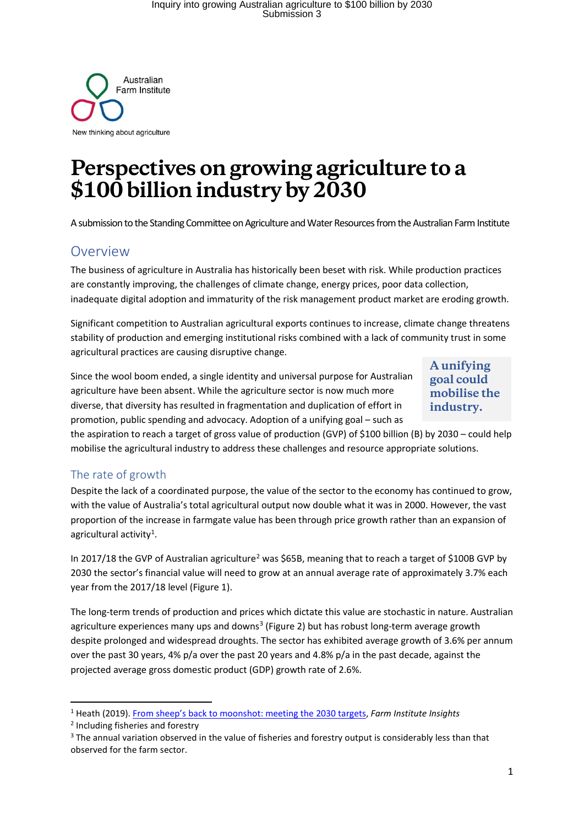

# **Perspectives on growing agriculture to a \$100 billion industryby 2030**

A submission to the Standing Committee on Agriculture and Water Resources from the Australian Farm Institute

## Overview

The business of agriculture in Australia has historically been beset with risk. While production practices are constantly improving, the challenges of climate change, energy prices, poor data collection, inadequate digital adoption and immaturity of the risk management product market are eroding growth.

Significant competition to Australian agricultural exports continues to increase, climate change threatens stability of production and emerging institutional risks combined with a lack of community trust in some agricultural practices are causing disruptive change.

Since the wool boom ended, a single identity and universal purpose for Australian agriculture have been absent. While the agriculture sector is now much more diverse, that diversity has resulted in fragmentation and duplication of effort in promotion, public spending and advocacy. Adoption of a unifying goal – such as

**A unifying goal could mobilise the industry.**

the aspiration to reach a target of gross value of production (GVP) of \$100 billion (B) by 2030 – could help mobilise the agricultural industry to address these challenges and resource appropriate solutions.

## The rate of growth

Despite the lack of a coordinated purpose, the value of the sector to the economy has continued to grow, with the value of Australia's total agricultural output now double what it was in 2000. However, the vast proportion of the increase in farmgate value has been through price growth rather than an expansion of agricultural activity<sup>[1](#page-0-0)</sup>.

In 2017/18 the GVP of Australian agriculture<sup>2</sup> was \$65B, meaning that to reach a target of \$100B GVP by 2030 the sector's financial value will need to grow at an annual average rate of approximately 3.7% each year from the 2017/18 level (Figure 1).

The long-term trends of production and prices which dictate this value are stochastic in nature. Australian agriculture experiences many ups and downs<sup>[3](#page-0-2)</sup> [\(Figure 2\)](#page-1-0) but has robust long-term average growth despite prolonged and widespread droughts. The sector has exhibited average growth of 3.6% per annum over the past 30 years, 4% p/a over the past 20 years and 4.8% p/a in the past decade, against the projected average gross domestic product (GDP) growth rate of 2.6%.

<span id="page-0-0"></span><sup>1</sup> Heath (2019)[. From sheep's back to moonshot: meeting the 2030 targets,](http://www.farminstitute.org.au/newsletter/2019/February/feature) *Farm Institute Insights*

<span id="page-0-1"></span><sup>2</sup> Including fisheries and forestry

<span id="page-0-2"></span><sup>&</sup>lt;sup>3</sup> The annual variation observed in the value of fisheries and forestry output is considerably less than that observed for the farm sector.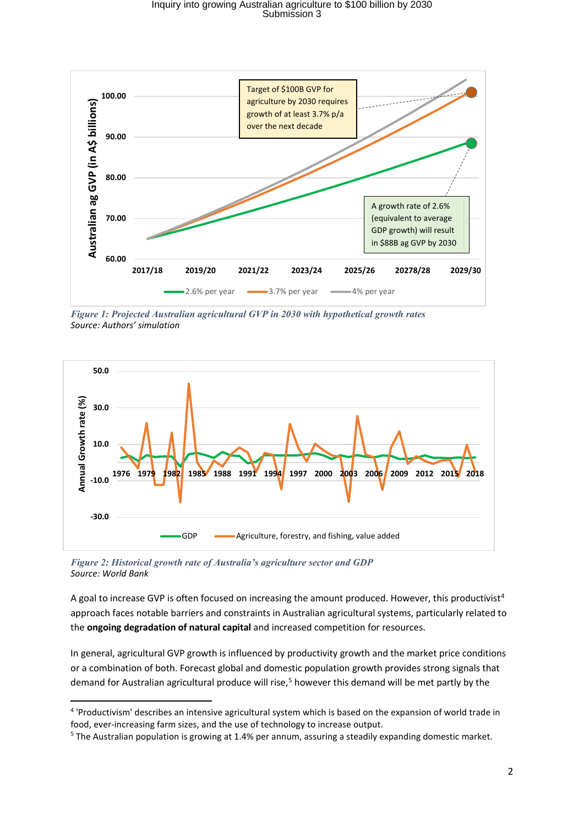## Inquiry into growing Australian agriculture to \$100 billion by 2030 Submission 3



*Figure 1: Projected Australian agricultural GVP in 2030 with hypothetical growth rates Source: Authors' simulation*



<span id="page-1-0"></span>*Figure 2: Historical growth rate of Australia's agriculture sector and GDP Source: World Bank*

A goal to increase GVP is often focused on increasing the amount produced. However, this productivist<sup>[4](#page-1-1)</sup> approach faces notable barriers and constraints in Australian agricultural systems, particularly related to the **ongoing degradation of natural capital** and increased competition for resources.

In general, agricultural GVP growth is influenced by productivity growth and the market price conditions or a combination of both. Forecast global and domestic population growth provides strong signals that demand for Australian agricultural produce will rise,<sup>[5](#page-1-2)</sup> however this demand will be met partly by the

<span id="page-1-1"></span><sup>4</sup> 'Productivism' describes an intensive agricultural system which is based on the expansion of world trade in food, ever-increasing farm sizes, and the use of technology to increase output.

<span id="page-1-2"></span><sup>&</sup>lt;sup>5</sup> The Australian population is growing at 1.4% per annum, assuring a steadily expanding domestic market.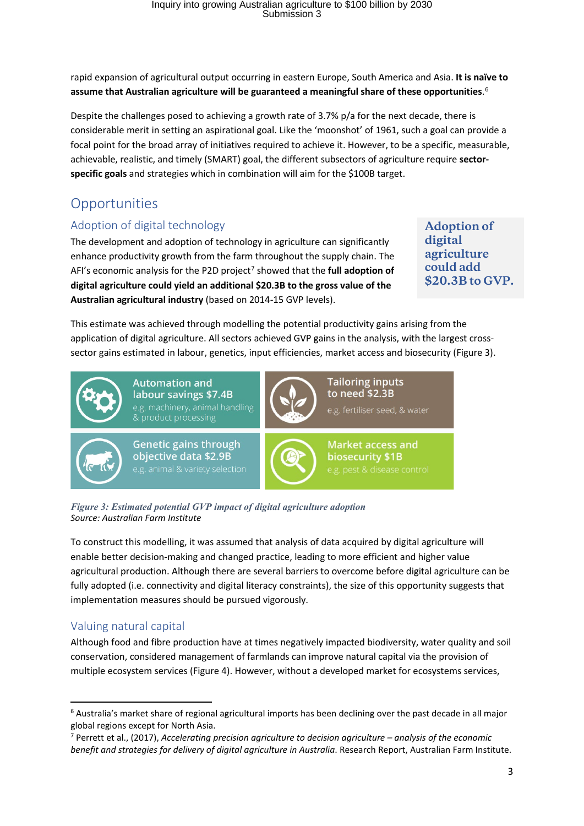rapid expansion of agricultural output occurring in eastern Europe, South America and Asia. **It is naïve to assume that Australian agriculture will be guaranteed a meaningful share of these opportunities**. [6](#page-2-0)

Despite the challenges posed to achieving a growth rate of 3.7% p/a for the next decade, there is considerable merit in setting an aspirational goal. Like the 'moonshot' of 1961, such a goal can provide a focal point for the broad array of initiatives required to achieve it. However, to be a specific, measurable, achievable, realistic, and timely (SMART) goal, the different subsectors of agriculture require **sectorspecific goals** and strategies which in combination will aim for the \$100B target.

## **Opportunities**

#### Adoption of digital technology

The development and adoption of technology in agriculture can significantly enhance productivity growth from the farm throughout the supply chain. The AFI's economic analysis for the P2D project<sup>[7](#page-2-1)</sup> showed that the **full adoption of digital agriculture could yield an additional \$20.3B to the gross value of the Australian agricultural industry** (based on 2014-15 GVP levels).

**Adoption of digital agriculture could add \$20.3B to GVP.**

This estimate was achieved through modelling the potential productivity gains arising from the application of digital agriculture. All sectors achieved GVP gains in the analysis, with the largest crosssector gains estimated in labour, genetics, input efficiencies, market access and biosecurity (Figure 3).



*Figure 3: Estimated potential GVP impact of digital agriculture adoption Source: Australian Farm Institute*

To construct this modelling, it was assumed that analysis of data acquired by digital agriculture will enable better decision-making and changed practice, leading to more efficient and higher value agricultural production. Although there are several barriers to overcome before digital agriculture can be fully adopted (i.e. connectivity and digital literacy constraints), the size of this opportunity suggests that implementation measures should be pursued vigorously.

## Valuing natural capital

Although food and fibre production have at times negatively impacted biodiversity, water quality and soil conservation, considered management of farmlands can improve natural capital via the provision of multiple ecosystem services (Figure 4). However, without a developed market for ecosystems services,

<span id="page-2-0"></span><sup>6</sup> Australia's market share of regional agricultural imports has been declining over the past decade in all major global regions except for North Asia.

<span id="page-2-1"></span><sup>7</sup> Perrett et al., (2017), *Accelerating precision agriculture to decision agriculture – analysis of the economic benefit and strategies for delivery of digital agriculture in Australia*. Research Report, Australian Farm Institute.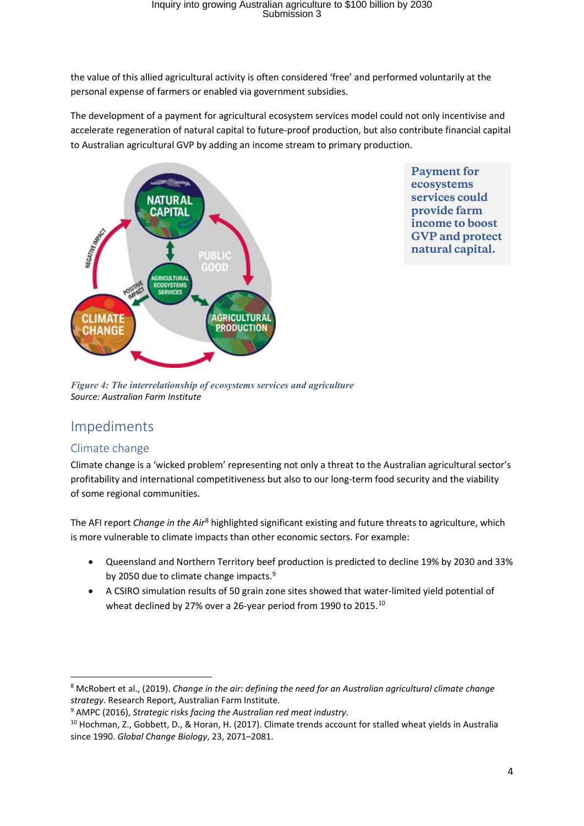the value of this allied agricultural activity is often considered 'free' and performed voluntarily at the personal expense of farmers or enabled via government subsidies.

The development of a payment for agricultural ecosystem services model could not only incentivise and accelerate regeneration of natural capital to future-proof production, but also contribute financial capital to Australian agricultural GVP by adding an income stream to primary production.



**Payment for ecosystems services could provide farm income to boost GVP and protect natural capital.**

*Figure 4: The interrelationship of ecosystems services and agriculture Source: Australian Farm Institute*

## Impediments

#### Climate change

Climate change is a 'wicked problem' representing not only a threat to the Australian agricultural sector's profitability and international competitiveness but also to our long-term food security and the viability of some regional communities.

The AFI report *Change in the Air*[8](#page-3-0) highlighted significant existing and future threats to agriculture, which is more vulnerable to climate impacts than other economic sectors. For example:

- Queensland and Northern Territory beef production is predicted to decline 19% by 2030 and 33% by 2050 due to climate change impacts.<sup>[9](#page-3-1)</sup>
- A CSIRO simulation results of 50 grain zone sites showed that water-limited yield potential of wheat declined by 27% over a 26-year period from 1990 to 2015.<sup>[10](#page-3-2)</sup>

<span id="page-3-0"></span><sup>8</sup> McRobert et al., (2019). *Change in the air: defining the need for an Australian agricultural climate change strategy*. Research Report, Australian Farm Institute.

<span id="page-3-2"></span><span id="page-3-1"></span><sup>&</sup>lt;sup>9</sup> AMPC (2016), *Strategic risks facing the Australian red meat industry*.<br><sup>10</sup> Hochman, Z., Gobbett, D., & Horan, H. (2017). Climate trends account for stalled wheat yields in Australia since 1990. *Global Change Biology*, 23, 2071–2081.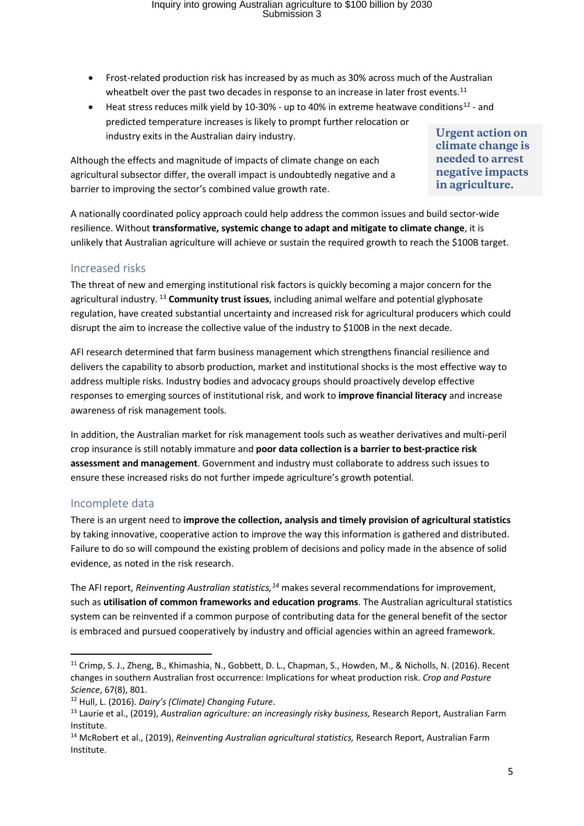- Frost-related production risk has increased by as much as 30% across much of the Australian wheatbelt over the past two decades in response to an increase in later frost events.<sup>[11](#page-4-0)</sup>
- Heat stress reduces milk yield by 10-30% up to 40% in extreme heatwave conditions<sup>[12](#page-4-1)</sup> and predicted temperature increases is likely to prompt further relocation or industry exits in the Australian dairy industry.

Although the effects and magnitude of impacts of climate change on each agricultural subsector differ, the overall impact is undoubtedly negative and a barrier to improving the sector's combined value growth rate.

**Urgent action on climate change is needed to arrest negative impacts in agriculture.**

A nationally coordinated policy approach could help address the common issues and build sector-wide resilience. Without **transformative, systemic change to adapt and mitigate to climate change**, it is unlikely that Australian agriculture will achieve or sustain the required growth to reach the \$100B target.

#### Increased risks

The threat of new and emerging institutional risk factors is quickly becoming a major concern for the agricultural industry. [13](#page-4-2) **Community trust issues**, including animal welfare and potential glyphosate regulation, have created substantial uncertainty and increased risk for agricultural producers which could disrupt the aim to increase the collective value of the industry to \$100B in the next decade.

AFI research determined that farm business management which strengthens financial resilience and delivers the capability to absorb production, market and institutional shocks is the most effective way to address multiple risks. Industry bodies and advocacy groups should proactively develop effective responses to emerging sources of institutional risk, and work to **improve financial literacy** and increase awareness of risk management tools.

In addition, the Australian market for risk management tools such as weather derivatives and multi-peril crop insurance is still notably immature and **poor data collection is a barrier to best-practice risk assessment and management**. Government and industry must collaborate to address such issues to ensure these increased risks do not further impede agriculture's growth potential.

#### Incomplete data

There is an urgent need to **improve the collection, analysis and timely provision of agricultural statistics** by taking innovative, cooperative action to improve the way this information is gathered and distributed. Failure to do so will compound the existing problem of decisions and policy made in the absence of solid evidence, as noted in the risk research.

The AFI report, *Reinventing Australian statistics,[14](#page-4-3)* makes several recommendations for improvement, such as **utilisation of common frameworks and education programs**. The Australian agricultural statistics system can be reinvented if a common purpose of contributing data for the general benefit of the sector is embraced and pursued cooperatively by industry and official agencies within an agreed framework.

<span id="page-4-0"></span><sup>&</sup>lt;sup>11</sup> Crimp, S. J., Zheng, B., Khimashia, N., Gobbett, D. L., Chapman, S., Howden, M., & Nicholls, N. (2016). Recent changes in southern Australian frost occurrence: Implications for wheat production risk. *Crop and Pasture Science*, 67(8), 801.

<span id="page-4-2"></span><span id="page-4-1"></span><sup>&</sup>lt;sup>12</sup> Hull, L. (2016). *Dairy's (Climate) Changing Future*.<br><sup>13</sup> Laurie et al., (2019), *Australian agriculture: an increasingly risky business, Research Report, Australian Farm* Institute.

<span id="page-4-3"></span><sup>14</sup> McRobert et al., (2019), *Reinventing Australian agricultural statistics,* Research Report, Australian Farm Institute.